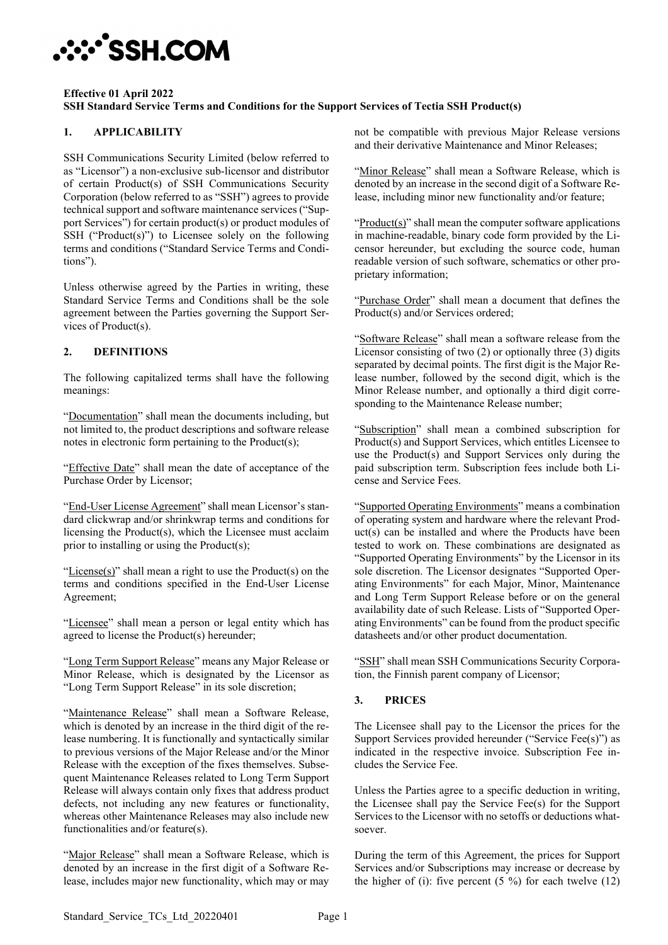# **:::\*`SSH.COM**

#### **Effective 01 April 2022 SSH Standard Service Terms and Conditions for the Support Services of Tectia SSH Product(s)**

# **1. APPLICABILITY**

SSH Communications Security Limited (below referred to as "Licensor") a non-exclusive sub-licensor and distributor of certain Product(s) of SSH Communications Security Corporation (below referred to as "SSH") agrees to provide technical support and software maintenance services ("Support Services") for certain product(s) or product modules of SSH ("Product(s)") to Licensee solely on the following terms and conditions ("Standard Service Terms and Conditions").

Unless otherwise agreed by the Parties in writing, these Standard Service Terms and Conditions shall be the sole agreement between the Parties governing the Support Services of Product(s).

# **2. DEFINITIONS**

The following capitalized terms shall have the following meanings:

"Documentation" shall mean the documents including, but not limited to, the product descriptions and software release notes in electronic form pertaining to the Product(s);

"Effective Date" shall mean the date of acceptance of the Purchase Order by Licensor;

"End-User License Agreement" shall mean Licensor's standard clickwrap and/or shrinkwrap terms and conditions for licensing the Product(s), which the Licensee must acclaim prior to installing or using the Product(s);

" $License(s)$ " shall mean a right to use the Product(s) on the terms and conditions specified in the End-User License Agreement;

"Licensee" shall mean a person or legal entity which has agreed to license the Product(s) hereunder;

"Long Term Support Release" means any Major Release or Minor Release, which is designated by the Licensor as "Long Term Support Release" in its sole discretion;

"Maintenance Release" shall mean a Software Release, which is denoted by an increase in the third digit of the release numbering. It is functionally and syntactically similar to previous versions of the Major Release and/or the Minor Release with the exception of the fixes themselves. Subsequent Maintenance Releases related to Long Term Support Release will always contain only fixes that address product defects, not including any new features or functionality, whereas other Maintenance Releases may also include new functionalities and/or feature(s).

"Major Release" shall mean a Software Release, which is denoted by an increase in the first digit of a Software Release, includes major new functionality, which may or may

not be compatible with previous Major Release versions and their derivative Maintenance and Minor Releases;

"Minor Release" shall mean a Software Release, which is denoted by an increase in the second digit of a Software Release, including minor new functionality and/or feature;

" $Product(s)$ " shall mean the computer software applications" in machine-readable, binary code form provided by the Licensor hereunder, but excluding the source code, human readable version of such software, schematics or other proprietary information;

"Purchase Order" shall mean a document that defines the Product(s) and/or Services ordered;

"Software Release" shall mean a software release from the Licensor consisting of two (2) or optionally three (3) digits separated by decimal points. The first digit is the Major Release number, followed by the second digit, which is the Minor Release number, and optionally a third digit corresponding to the Maintenance Release number;

"Subscription" shall mean a combined subscription for Product(s) and Support Services, which entitles Licensee to use the Product(s) and Support Services only during the paid subscription term. Subscription fees include both License and Service Fees.

"Supported Operating Environments" means a combination of operating system and hardware where the relevant Product(s) can be installed and where the Products have been tested to work on. These combinations are designated as "Supported Operating Environments" by the Licensor in its sole discretion. The Licensor designates "Supported Operating Environments" for each Major, Minor, Maintenance and Long Term Support Release before or on the general availability date of such Release. Lists of "Supported Operating Environments" can be found from the product specific datasheets and/or other product documentation.

"SSH" shall mean SSH Communications Security Corporation, the Finnish parent company of Licensor;

## **3. PRICES**

The Licensee shall pay to the Licensor the prices for the Support Services provided hereunder ("Service Fee(s)") as indicated in the respective invoice. Subscription Fee includes the Service Fee.

Unless the Parties agree to a specific deduction in writing, the Licensee shall pay the Service Fee(s) for the Support Services to the Licensor with no setoffs or deductions whatsoever.

During the term of this Agreement, the prices for Support Services and/or Subscriptions may increase or decrease by the higher of (i): five percent  $(5 \%)$  for each twelve  $(12)$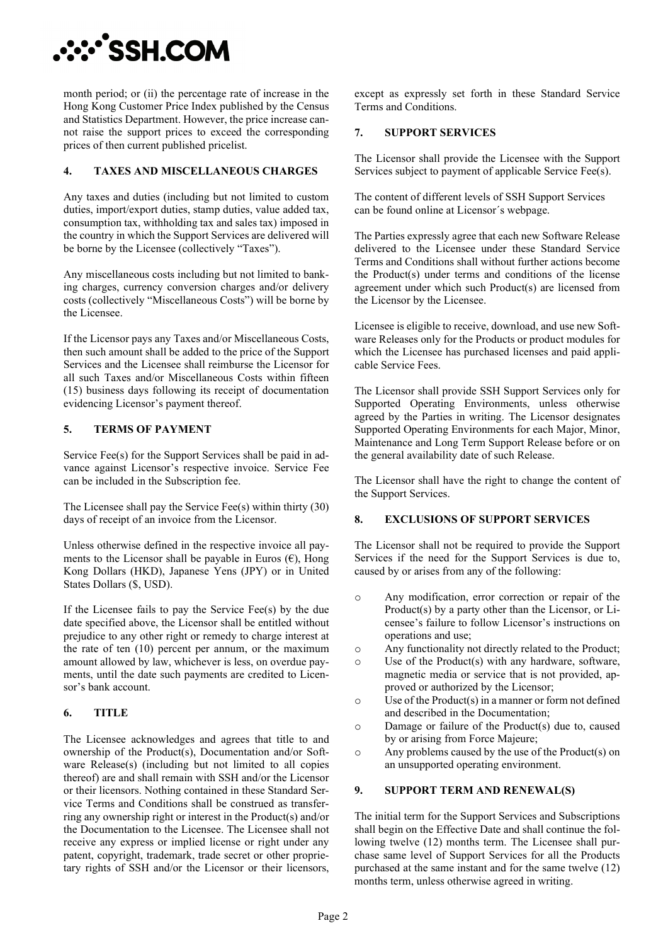**∵∵^SSH.COM** 

month period; or (ii) the percentage rate of increase in the Hong Kong Customer Price Index published by the Census and Statistics Department. However, the price increase cannot raise the support prices to exceed the corresponding prices of then current published pricelist.

### **4. TAXES AND MISCELLANEOUS CHARGES**

Any taxes and duties (including but not limited to custom duties, import/export duties, stamp duties, value added tax, consumption tax, withholding tax and sales tax) imposed in the country in which the Support Services are delivered will be borne by the Licensee (collectively "Taxes").

Any miscellaneous costs including but not limited to banking charges, currency conversion charges and/or delivery costs (collectively "Miscellaneous Costs") will be borne by the Licensee.

If the Licensor pays any Taxes and/or Miscellaneous Costs, then such amount shall be added to the price of the Support Services and the Licensee shall reimburse the Licensor for all such Taxes and/or Miscellaneous Costs within fifteen (15) business days following its receipt of documentation evidencing Licensor's payment thereof.

## **5. TERMS OF PAYMENT**

Service Fee(s) for the Support Services shall be paid in advance against Licensor's respective invoice. Service Fee can be included in the Subscription fee.

The Licensee shall pay the Service Fee(s) within thirty (30) days of receipt of an invoice from the Licensor.

Unless otherwise defined in the respective invoice all payments to the Licensor shall be payable in Euros  $(\epsilon)$ , Hong Kong Dollars (HKD), Japanese Yens (JPY) or in United States Dollars (\$, USD).

If the Licensee fails to pay the Service Fee(s) by the due date specified above, the Licensor shall be entitled without prejudice to any other right or remedy to charge interest at the rate of ten (10) percent per annum, or the maximum amount allowed by law, whichever is less, on overdue payments, until the date such payments are credited to Licensor's bank account.

## **6. TITLE**

The Licensee acknowledges and agrees that title to and ownership of the Product(s), Documentation and/or Software Release(s) (including but not limited to all copies thereof) are and shall remain with SSH and/or the Licensor or their licensors. Nothing contained in these Standard Service Terms and Conditions shall be construed as transferring any ownership right or interest in the Product(s) and/or the Documentation to the Licensee. The Licensee shall not receive any express or implied license or right under any patent, copyright, trademark, trade secret or other proprietary rights of SSH and/or the Licensor or their licensors, except as expressly set forth in these Standard Service Terms and Conditions.

### **7. SUPPORT SERVICES**

The Licensor shall provide the Licensee with the Support Services subject to payment of applicable Service Fee(s).

The content of different levels of SSH Support Services can be found online at Licensor´s webpage.

The Parties expressly agree that each new Software Release delivered to the Licensee under these Standard Service Terms and Conditions shall without further actions become the Product(s) under terms and conditions of the license agreement under which such Product(s) are licensed from the Licensor by the Licensee.

Licensee is eligible to receive, download, and use new Software Releases only for the Products or product modules for which the Licensee has purchased licenses and paid applicable Service Fees.

The Licensor shall provide SSH Support Services only for Supported Operating Environments, unless otherwise agreed by the Parties in writing. The Licensor designates Supported Operating Environments for each Major, Minor, Maintenance and Long Term Support Release before or on the general availability date of such Release.

The Licensor shall have the right to change the content of the Support Services.

#### **8. EXCLUSIONS OF SUPPORT SERVICES**

The Licensor shall not be required to provide the Support Services if the need for the Support Services is due to, caused by or arises from any of the following:

- o Any modification, error correction or repair of the Product(s) by a party other than the Licensor, or Licensee's failure to follow Licensor's instructions on operations and use;
- o Any functionality not directly related to the Product;
- o Use of the Product(s) with any hardware, software, magnetic media or service that is not provided, approved or authorized by the Licensor;
- o Use of the Product(s) in a manner or form not defined and described in the Documentation;
- o Damage or failure of the Product(s) due to, caused by or arising from Force Majeure;
- o Any problems caused by the use of the Product(s) on an unsupported operating environment.

#### **9. SUPPORT TERM AND RENEWAL(S)**

The initial term for the Support Services and Subscriptions shall begin on the Effective Date and shall continue the following twelve (12) months term. The Licensee shall purchase same level of Support Services for all the Products purchased at the same instant and for the same twelve (12) months term, unless otherwise agreed in writing.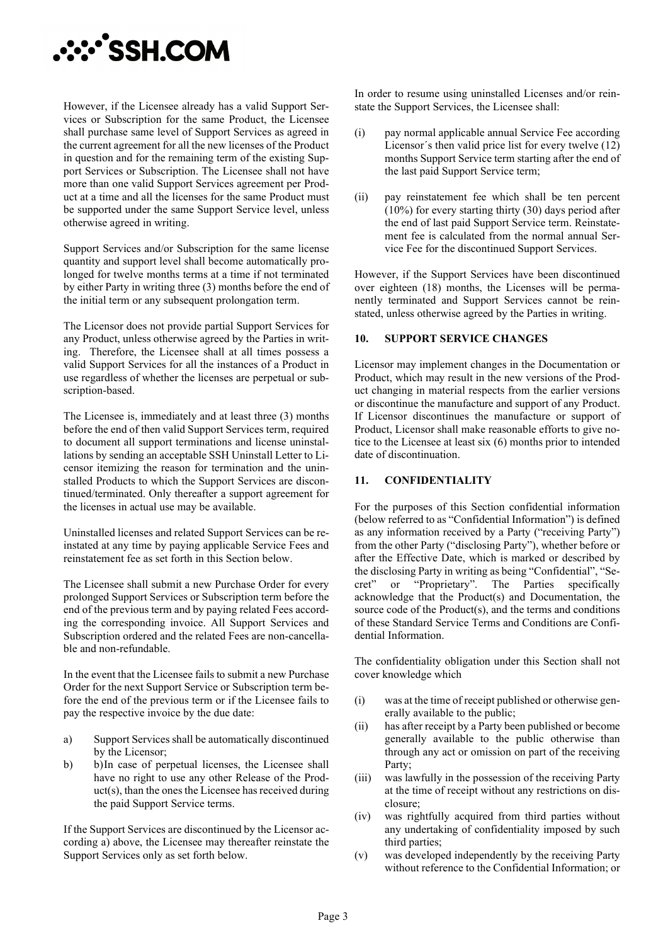

However, if the Licensee already has a valid Support Services or Subscription for the same Product, the Licensee shall purchase same level of Support Services as agreed in the current agreement for all the new licenses of the Product in question and for the remaining term of the existing Support Services or Subscription. The Licensee shall not have more than one valid Support Services agreement per Product at a time and all the licenses for the same Product must be supported under the same Support Service level, unless otherwise agreed in writing.

Support Services and/or Subscription for the same license quantity and support level shall become automatically prolonged for twelve months terms at a time if not terminated by either Party in writing three (3) months before the end of the initial term or any subsequent prolongation term.

The Licensor does not provide partial Support Services for any Product, unless otherwise agreed by the Parties in writing. Therefore, the Licensee shall at all times possess a valid Support Services for all the instances of a Product in use regardless of whether the licenses are perpetual or subscription-based.

The Licensee is, immediately and at least three (3) months before the end of then valid Support Services term, required to document all support terminations and license uninstallations by sending an acceptable SSH Uninstall Letter to Licensor itemizing the reason for termination and the uninstalled Products to which the Support Services are discontinued/terminated. Only thereafter a support agreement for the licenses in actual use may be available.

Uninstalled licenses and related Support Services can be reinstated at any time by paying applicable Service Fees and reinstatement fee as set forth in this Section below.

The Licensee shall submit a new Purchase Order for every prolonged Support Services or Subscription term before the end of the previous term and by paying related Fees according the corresponding invoice. All Support Services and Subscription ordered and the related Fees are non-cancellable and non-refundable.

In the event that the Licensee fails to submit a new Purchase Order for the next Support Service or Subscription term before the end of the previous term or if the Licensee fails to pay the respective invoice by the due date:

- a) Support Services shall be automatically discontinued by the Licensor;
- b) b)In case of perpetual licenses, the Licensee shall have no right to use any other Release of the Product(s), than the ones the Licensee has received during the paid Support Service terms.

If the Support Services are discontinued by the Licensor according a) above, the Licensee may thereafter reinstate the Support Services only as set forth below.

In order to resume using uninstalled Licenses and/or reinstate the Support Services, the Licensee shall:

- (i) pay normal applicable annual Service Fee according Licensor´s then valid price list for every twelve (12) months Support Service term starting after the end of the last paid Support Service term;
- (ii) pay reinstatement fee which shall be ten percent (10%) for every starting thirty (30) days period after the end of last paid Support Service term. Reinstatement fee is calculated from the normal annual Service Fee for the discontinued Support Services.

However, if the Support Services have been discontinued over eighteen (18) months, the Licenses will be permanently terminated and Support Services cannot be reinstated, unless otherwise agreed by the Parties in writing.

#### **10. SUPPORT SERVICE CHANGES**

Licensor may implement changes in the Documentation or Product, which may result in the new versions of the Product changing in material respects from the earlier versions or discontinue the manufacture and support of any Product. If Licensor discontinues the manufacture or support of Product, Licensor shall make reasonable efforts to give notice to the Licensee at least six (6) months prior to intended date of discontinuation.

#### **11. CONFIDENTIALITY**

For the purposes of this Section confidential information (below referred to as "Confidential Information") is defined as any information received by a Party ("receiving Party") from the other Party ("disclosing Party"), whether before or after the Effective Date, which is marked or described by the disclosing Party in writing as being "Confidential", "Secret" or "Proprietary". The Parties specifically acknowledge that the Product(s) and Documentation, the source code of the Product(s), and the terms and conditions of these Standard Service Terms and Conditions are Confidential Information.

The confidentiality obligation under this Section shall not cover knowledge which

- (i) was at the time of receipt published or otherwise generally available to the public;
- (ii) has after receipt by a Party been published or become generally available to the public otherwise than through any act or omission on part of the receiving Party;
- (iii) was lawfully in the possession of the receiving Party at the time of receipt without any restrictions on disclosure;
- (iv) was rightfully acquired from third parties without any undertaking of confidentiality imposed by such third parties;
- (v) was developed independently by the receiving Party without reference to the Confidential Information; or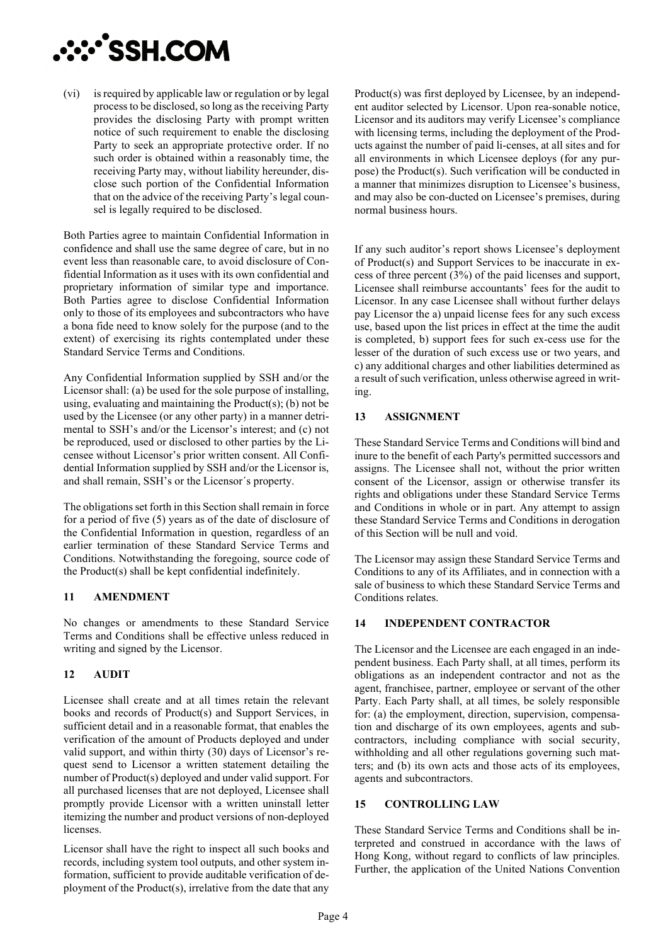

(vi) is required by applicable law or regulation or by legal process to be disclosed, so long as the receiving Party provides the disclosing Party with prompt written notice of such requirement to enable the disclosing Party to seek an appropriate protective order. If no such order is obtained within a reasonably time, the receiving Party may, without liability hereunder, disclose such portion of the Confidential Information that on the advice of the receiving Party's legal counsel is legally required to be disclosed.

Both Parties agree to maintain Confidential Information in confidence and shall use the same degree of care, but in no event less than reasonable care, to avoid disclosure of Confidential Information as it uses with its own confidential and proprietary information of similar type and importance. Both Parties agree to disclose Confidential Information only to those of its employees and subcontractors who have a bona fide need to know solely for the purpose (and to the extent) of exercising its rights contemplated under these Standard Service Terms and Conditions.

Any Confidential Information supplied by SSH and/or the Licensor shall: (a) be used for the sole purpose of installing, using, evaluating and maintaining the  $Product(s)$ ; (b) not be used by the Licensee (or any other party) in a manner detrimental to SSH's and/or the Licensor's interest; and (c) not be reproduced, used or disclosed to other parties by the Licensee without Licensor's prior written consent. All Confidential Information supplied by SSH and/or the Licensor is, and shall remain, SSH's or the Licensor´s property.

The obligations set forth in this Section shall remain in force for a period of five (5) years as of the date of disclosure of the Confidential Information in question, regardless of an earlier termination of these Standard Service Terms and Conditions. Notwithstanding the foregoing, source code of the Product(s) shall be kept confidential indefinitely.

#### **11 AMENDMENT**

No changes or amendments to these Standard Service Terms and Conditions shall be effective unless reduced in writing and signed by the Licensor.

## **12 AUDIT**

Licensee shall create and at all times retain the relevant books and records of Product(s) and Support Services, in sufficient detail and in a reasonable format, that enables the verification of the amount of Products deployed and under valid support, and within thirty (30) days of Licensor's request send to Licensor a written statement detailing the number of Product(s) deployed and under valid support. For all purchased licenses that are not deployed, Licensee shall promptly provide Licensor with a written uninstall letter itemizing the number and product versions of non-deployed licenses.

Licensor shall have the right to inspect all such books and records, including system tool outputs, and other system information, sufficient to provide auditable verification of deployment of the Product(s), irrelative from the date that any Product(s) was first deployed by Licensee, by an independent auditor selected by Licensor. Upon rea-sonable notice, Licensor and its auditors may verify Licensee's compliance with licensing terms, including the deployment of the Products against the number of paid li-censes, at all sites and for all environments in which Licensee deploys (for any purpose) the Product(s). Such verification will be conducted in a manner that minimizes disruption to Licensee's business, and may also be con-ducted on Licensee's premises, during normal business hours.

If any such auditor's report shows Licensee's deployment of Product(s) and Support Services to be inaccurate in excess of three percent (3%) of the paid licenses and support, Licensee shall reimburse accountants' fees for the audit to Licensor. In any case Licensee shall without further delays pay Licensor the a) unpaid license fees for any such excess use, based upon the list prices in effect at the time the audit is completed, b) support fees for such ex-cess use for the lesser of the duration of such excess use or two years, and c) any additional charges and other liabilities determined as a result of such verification, unless otherwise agreed in writing.

### **13 ASSIGNMENT**

These Standard Service Terms and Conditions will bind and inure to the benefit of each Party's permitted successors and assigns. The Licensee shall not, without the prior written consent of the Licensor, assign or otherwise transfer its rights and obligations under these Standard Service Terms and Conditions in whole or in part. Any attempt to assign these Standard Service Terms and Conditions in derogation of this Section will be null and void.

The Licensor may assign these Standard Service Terms and Conditions to any of its Affiliates, and in connection with a sale of business to which these Standard Service Terms and Conditions relates.

## **14 INDEPENDENT CONTRACTOR**

The Licensor and the Licensee are each engaged in an independent business. Each Party shall, at all times, perform its obligations as an independent contractor and not as the agent, franchisee, partner, employee or servant of the other Party. Each Party shall, at all times, be solely responsible for: (a) the employment, direction, supervision, compensation and discharge of its own employees, agents and subcontractors, including compliance with social security, withholding and all other regulations governing such matters; and (b) its own acts and those acts of its employees, agents and subcontractors.

## **15 CONTROLLING LAW**

These Standard Service Terms and Conditions shall be interpreted and construed in accordance with the laws of Hong Kong, without regard to conflicts of law principles. Further, the application of the United Nations Convention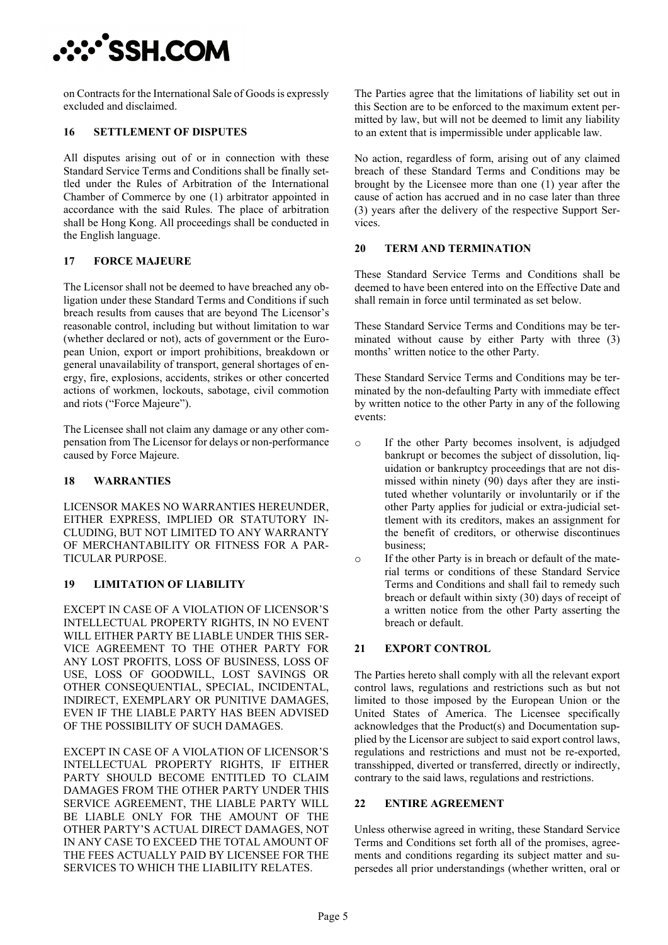# **A: SSH.COM**

on Contracts for the International Sale of Goods is expressly excluded and disclaimed.

### **16 SETTLEMENT OF DISPUTES**

All disputes arising out of or in connection with these Standard Service Terms and Conditions shall be finally settled under the Rules of Arbitration of the International Chamber of Commerce by one (1) arbitrator appointed in accordance with the said Rules. The place of arbitration shall be Hong Kong. All proceedings shall be conducted in the English language.

### **17 FORCE MAJEURE**

The Licensor shall not be deemed to have breached any obligation under these Standard Terms and Conditions if such breach results from causes that are beyond The Licensor's reasonable control, including but without limitation to war (whether declared or not), acts of government or the European Union, export or import prohibitions, breakdown or general unavailability of transport, general shortages of energy, fire, explosions, accidents, strikes or other concerted actions of workmen, lockouts, sabotage, civil commotion and riots ("Force Majeure").

The Licensee shall not claim any damage or any other compensation from The Licensor for delays or non-performance caused by Force Majeure.

## **18 WARRANTIES**

LICENSOR MAKES NO WARRANTIES HEREUNDER, EITHER EXPRESS, IMPLIED OR STATUTORY IN-CLUDING, BUT NOT LIMITED TO ANY WARRANTY OF MERCHANTABILITY OR FITNESS FOR A PAR-TICULAR PURPOSE.

# **19 LIMITATION OF LIABILITY**

EXCEPT IN CASE OF A VIOLATION OF LICENSOR'S INTELLECTUAL PROPERTY RIGHTS, IN NO EVENT WILL EITHER PARTY BE LIABLE UNDER THIS SER-VICE AGREEMENT TO THE OTHER PARTY FOR ANY LOST PROFITS, LOSS OF BUSINESS, LOSS OF USE, LOSS OF GOODWILL, LOST SAVINGS OR OTHER CONSEQUENTIAL, SPECIAL, INCIDENTAL, INDIRECT, EXEMPLARY OR PUNITIVE DAMAGES, EVEN IF THE LIABLE PARTY HAS BEEN ADVISED OF THE POSSIBILITY OF SUCH DAMAGES.

EXCEPT IN CASE OF A VIOLATION OF LICENSOR'S INTELLECTUAL PROPERTY RIGHTS, IF EITHER PARTY SHOULD BECOME ENTITLED TO CLAIM DAMAGES FROM THE OTHER PARTY UNDER THIS SERVICE AGREEMENT, THE LIABLE PARTY WILL BE LIABLE ONLY FOR THE AMOUNT OF THE OTHER PARTY'S ACTUAL DIRECT DAMAGES, NOT IN ANY CASE TO EXCEED THE TOTAL AMOUNT OF THE FEES ACTUALLY PAID BY LICENSEE FOR THE SERVICES TO WHICH THE LIABILITY RELATES.

The Parties agree that the limitations of liability set out in this Section are to be enforced to the maximum extent permitted by law, but will not be deemed to limit any liability to an extent that is impermissible under applicable law.

No action, regardless of form, arising out of any claimed breach of these Standard Terms and Conditions may be brought by the Licensee more than one (1) year after the cause of action has accrued and in no case later than three (3) years after the delivery of the respective Support Services.

#### **20 TERM AND TERMINATION**

These Standard Service Terms and Conditions shall be deemed to have been entered into on the Effective Date and shall remain in force until terminated as set below.

These Standard Service Terms and Conditions may be terminated without cause by either Party with three (3) months' written notice to the other Party.

These Standard Service Terms and Conditions may be terminated by the non-defaulting Party with immediate effect by written notice to the other Party in any of the following events:

- o If the other Party becomes insolvent, is adjudged bankrupt or becomes the subject of dissolution, liquidation or bankruptcy proceedings that are not dismissed within ninety (90) days after they are instituted whether voluntarily or involuntarily or if the other Party applies for judicial or extra-judicial settlement with its creditors, makes an assignment for the benefit of creditors, or otherwise discontinues business;
- o If the other Party is in breach or default of the material terms or conditions of these Standard Service Terms and Conditions and shall fail to remedy such breach or default within sixty (30) days of receipt of a written notice from the other Party asserting the breach or default.

## **21 EXPORT CONTROL**

The Parties hereto shall comply with all the relevant export control laws, regulations and restrictions such as but not limited to those imposed by the European Union or the United States of America. The Licensee specifically acknowledges that the Product(s) and Documentation supplied by the Licensor are subject to said export control laws, regulations and restrictions and must not be re-exported, transshipped, diverted or transferred, directly or indirectly, contrary to the said laws, regulations and restrictions.

#### **22 ENTIRE AGREEMENT**

Unless otherwise agreed in writing, these Standard Service Terms and Conditions set forth all of the promises, agreements and conditions regarding its subject matter and supersedes all prior understandings (whether written, oral or